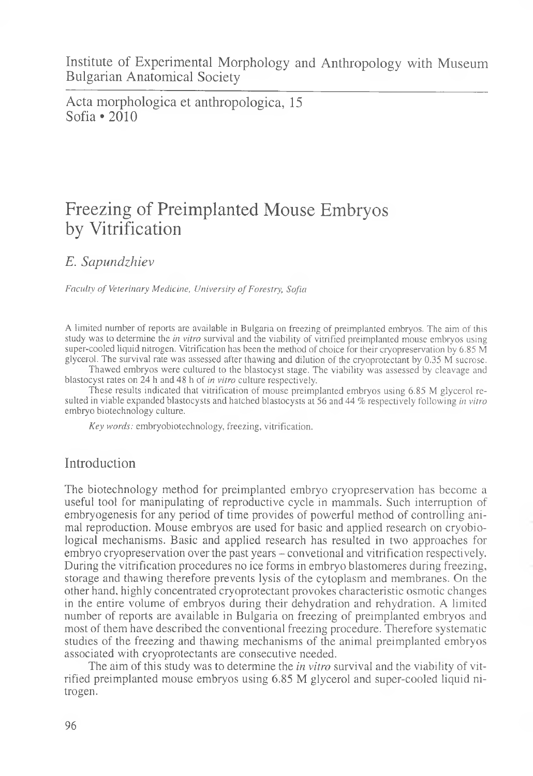Institute of Experimental Morphology and Anthropology with Museum Bulgarian Anatomical Society

Acta morphologica et anthropologica, 15 Sofia • 2010

# Freezing of Preimplanted Mouse Embryos by Vitrification

*E. Sapundzhiev*

*Faculty of Veterinary Medicine, University of Forestry, Sofia* 

A limited number of reports are available in Bulgaria on freezing of preimplanted embryos. The aim of this study was to determine the *in vitro* survival and the viability of vitrified preimplanted mouse embryos using super-cooled liquid nitrogen. Vitrification has been the method of choice for their cryopreservation by 6.85 M glycerol. The survival rate was assessed after thawing and dilution of the cryoprotectant by 0.35 M sucrose.

Thawed embryos were cultured to the blastocyst stage. The viability was assessed by cleavage and blastocyst rates on 24 h and 48 h of *in vitro* culture respectively.

These results indicated that vitrification of mouse preimplanted embryos using 6.85 M glycerol resulted in viable expanded blastocysts and hatched blastocysts at 56 and 44 *%* respectively following *in vitro* embryo biotechnology culture.

*Key words:* embryobiotechnology, freezing, vitrification.

## Introduction

The biotechnology method for preimplanted embryo cryopreservation has become a useful tool for manipulating of reproductive cycle in mammals. Such interruption of embryogenesis for any period of time provides of powerful method of controlling animal reproduction. Mouse embryos are used for basic and applied research on cryobiological mechanisms. Basic and applied research has resulted in two approaches for embryo cryopreservation over the past years - convetional and vitrification respectively. During the vitrification procedures no ice forms in embryo blastomeres during freezing, storage and thawing therefore prevents lysis of the cytoplasm and membranes. On the other hand, highly concentrated cryoprotectant provokes characteristic osmotic changes in the entire volume of embryos during their dehydration and rehydration. A limited number of reports are available in Bulgaria on freezing of preimplanted embryos and most of them have described the conventional freezing procedure. Therefore systematic studies of the freezing and thawing mechanisms of the animal preimplanted embryos associated with cryoprotectants are consecutive needed.

The aim of this study was to determine the *in vitro* survival and the viability of vitrified preimplanted mouse embryos using 6.85 M glycerol and super-cooled liquid nitrogen.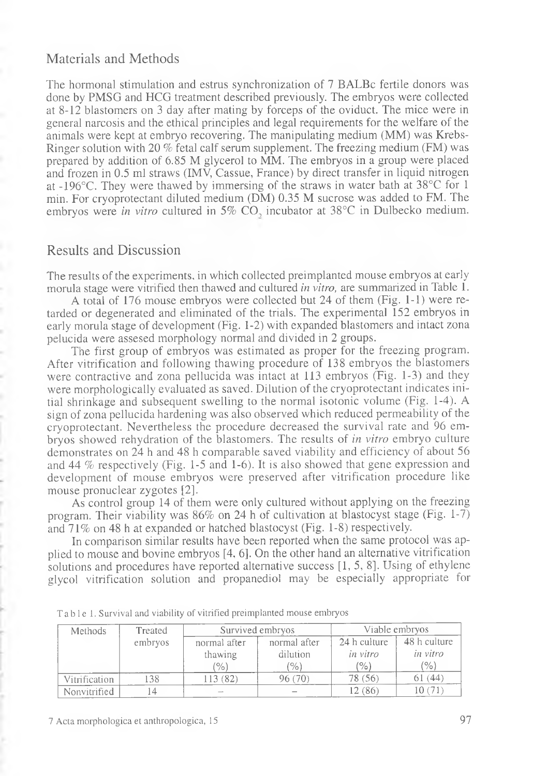#### Materials and Methods

The hormonal stimulation and estrus synchronization of 7 BALBc fertile donors was done by PMSG and HCG treatment described previously. The embryos were collected at 8-12 blastomers on 3 day after mating by forceps of the oviduct. The mice were in general narcosis and the ethical principles and legal requirements for the welfare of the animals were kept at embryo recovering. The manipulating medium (MM) was Krebs-Ringer solution with 20 % fetal calf serum supplement. The freezing medium (FM) was prepared by addition of 6.85 M glycerol to MM. The embryos in a group were placed and frozen in 0.5 ml straws (IMV, Cassue, France) by direct transfer in liquid nitrogen at -196°C. They were thawed by immersing of the straws in water bath at 38°C for 1 min. For cryoprotectant diluted medium (DM) 0.35 M sucrose was added to FM. The embryos were *in vitro* cultured in 5% CO, incubator at 38°C in Dulbecko medium.

## Results and Discussion

The results of the experiments, in which collected preimplanted mouse embryos at early morula stage were vitrified then thawed and cultured *in vitro,* are summarized in Table 1.

A total of 176 mouse embryos were collected but 24 of them (Fig. 1-1) were retarded or degenerated and eliminated of the trials. The experimental 152 embryos in early morula stage of development (Fig. 1-2) with expanded blastomers and intact zona pelucida were assesed morphology normal and divided in 2 groups.

The first group of embryos was estimated as proper for the freezing program. After vitrification and following thawing procedure of 138 embryos the blastomers were contractive and zona pellucida was intact at 113 embryos (Fig. 1-3) and they were morphologically evaluated as saved. Dilution of the cryoprotectant indicates initial shrinkage and subsequent swelling to the normal isotonic volume (Fig. 1-4). A sign of zona pellucida hardening was also observed which reduced permeability of the cryoprotectant. Nevertheless the procedure decreased the survival rate and 96 embryos showed rehydration of the blastomers. The results of *in vitro* embryo culture demonstrates on 24 h and 48 h comparable saved viability and efficiency of about 56 and 44 % respectively (Fig. 1-5 and 1-6). It is also showed that gene expression and development of mouse embryos were preserved after vitrification procedure like mouse pronuclear zygotes [2].

As control group 14 of them were only cultured without applying on the freezing program. Their viability was 86% on 24 h of cultivation at blastocyst stage (Fig. 1-7) and 71% on 48 h at expanded or hatched blastocyst (Fig. 1-8) respectively.

In comparison similar results have been reported when the same protocol was applied to mouse and bovine embryos [4, 6]. On the other hand an alternative vitrification solutions and procedures have reported alternative success [1, 5, 8]. Using of ethylene glycol vitrification solution and propanediol may be especially appropriate for

| Methods       | Treated | Survived embryos |              | Viable embryos |              |
|---------------|---------|------------------|--------------|----------------|--------------|
|               | embryos | normal after     | normal after | 24 h culture   | 48 h culture |
|               |         | thawing          | dilution     | in vitro       | in vitro     |
|               |         | (0)              | (%)          | (%)            | (%)          |
| Vitrification | 138     | 113(82)          | 96(70)       | 78 (56)        | 61(44)       |
| Nonvitrified  |         |                  |              | 12 (86)        | 10 (71       |

Table 1. Survival and viability of vitrified preimplanted mouse embryos

7 Acta morphologica et anthropologica, 15 97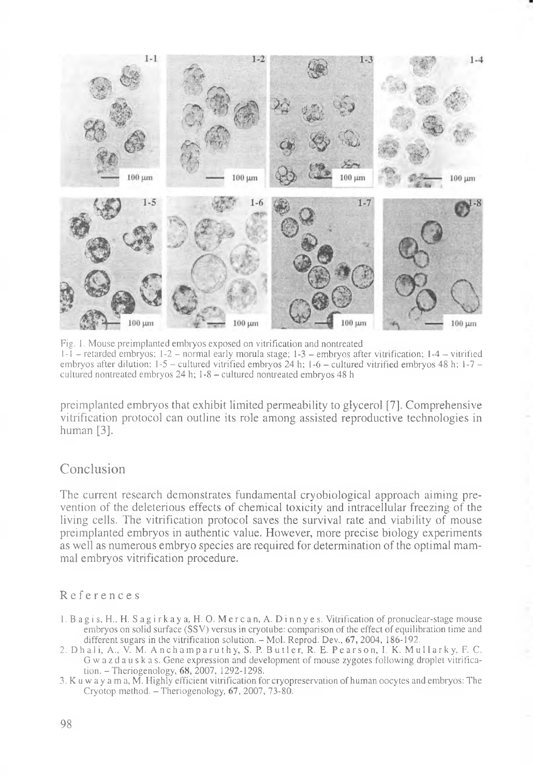

Fig. 1. Mouse preimplanted embryos exposed on vitrification and nontreated 1-1 - retarded embryos; 1-2 - normal early morula stage; 1-3 - embryos after vitrification; 1-4 - vitrified embryos after dilution;  $1-5$  - cultured vitrified embryos 24 h;  $1-6$  - cultured vitrified embryos 48 h;  $1-7$  cultured nontreated embryos 24 h; 1-8 - cultured nontreated embryos 48 h

preimplanted embryos that exhibit limited permeability to glycerol [7]. Comprehensive vitrification protocol can outline its role among assisted reproductive technologies in human [3].

## Conclusion

The current research demonstrates fundamental cryobiological approach aiming prevention of the deleterious effects of chemical toxicity and intracellular freezing of the living cells. The vitrification protocol saves the survival rate and viability of mouse preimplanted embryos in authentic value. However, more precise biology experiments as well as numerous embryo species are required for determination of the optimal mammal embryos vitrification procedure.

#### References

- 1. B a g i s, H., H. S ag i r ka у a, H. O. M e r c an, A. D i nn у e s. Vitrification of pronuclear-stage mouse embryos on solid surface (SSV) versus in cryotube: comparison of the effect of equilibration time and different sugars in the vitrification solution. - Mol. Reprod. Dev., 67, 2004, 186-192.
- 2. Dhali, A., V. M. Anchamparuthy, S. P. Butler, R. E. Pearson, I. K. Mullarky, F. C. Gwazdauskas. Gene expression and development of mouse zygotes following droplet vitrification. - Theriogenology, 68, 2007, 1292-1298.
- 3. K u w a y a m a, M. Highly efficient vitrification for cryopreservation of human oocytes and embryos: The Cryotop method.  $-$  Theriogenology, 67, 2007, 73-80.